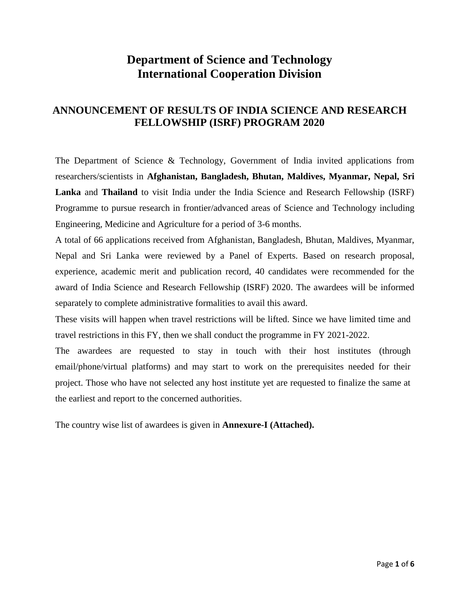## **Department of Science and Technology International Cooperation Division**

## **ANNOUNCEMENT OF RESULTS OF INDIA SCIENCE AND RESEARCH FELLOWSHIP (ISRF) PROGRAM 2020**

The Department of Science & Technology, Government of India invited applications from researchers/scientists in **Afghanistan, Bangladesh, Bhutan, Maldives, Myanmar, Nepal, Sri Lanka** and **Thailand** to visit India under the India Science and Research Fellowship (ISRF) Programme to pursue research in frontier/advanced areas of Science and Technology including Engineering, Medicine and Agriculture for a period of 3-6 months.

A total of 66 applications received from Afghanistan, Bangladesh, Bhutan, Maldives, Myanmar, Nepal and Sri Lanka were reviewed by a Panel of Experts. Based on research proposal, experience, academic merit and publication record, 40 candidates were recommended for the award of India Science and Research Fellowship (ISRF) 2020. The awardees will be informed separately to complete administrative formalities to avail this award.

These visits will happen when travel restrictions will be lifted. Since we have limited time and travel restrictions in this FY, then we shall conduct the programme in FY 2021-2022.

The awardees are requested to stay in touch with their host institutes (through email/phone/virtual platforms) and may start to work on the prerequisites needed for their project. Those who have not selected any host institute yet are requested to finalize the same at the earliest and report to the concerned authorities.

The country wise list of awardees is given in **Annexure-I (Attached).**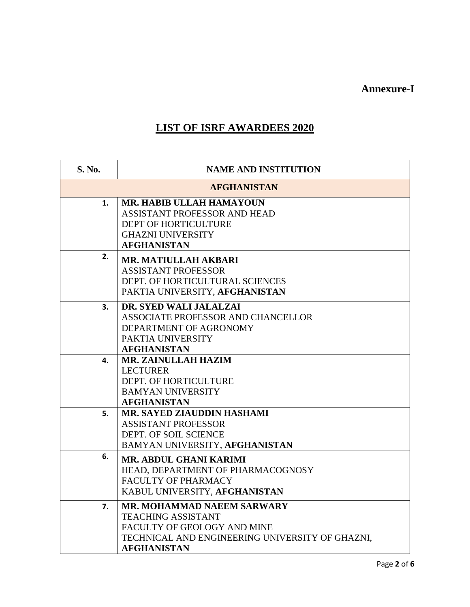**Annexure-I**

## **LIST OF ISRF AWARDEES 2020**

| S. No. | <b>NAME AND INSTITUTION</b>                                                                                                                                     |
|--------|-----------------------------------------------------------------------------------------------------------------------------------------------------------------|
|        | <b>AFGHANISTAN</b>                                                                                                                                              |
| 1.     | MR. HABIB ULLAH HAMAYOUN<br>ASSISTANT PROFESSOR AND HEAD<br>DEPT OF HORTICULTURE<br><b>GHAZNI UNIVERSITY</b><br><b>AFGHANISTAN</b>                              |
| 2.     | <b>MR. MATIULLAH AKBARI</b><br><b>ASSISTANT PROFESSOR</b><br>DEPT. OF HORTICULTURAL SCIENCES<br>PAKTIA UNIVERSITY, AFGHANISTAN                                  |
| 3.     | DR. SYED WALI JALALZAI<br>ASSOCIATE PROFESSOR AND CHANCELLOR<br>DEPARTMENT OF AGRONOMY<br>PAKTIA UNIVERSITY<br><b>AFGHANISTAN</b>                               |
| 4.     | <b>MR. ZAINULLAH HAZIM</b><br><b>LECTURER</b><br>DEPT. OF HORTICULTURE<br><b>BAMYAN UNIVERSITY</b><br><b>AFGHANISTAN</b>                                        |
| 5.     | MR. SAYED ZIAUDDIN HASHAMI<br><b>ASSISTANT PROFESSOR</b><br>DEPT. OF SOIL SCIENCE<br>BAMYAN UNIVERSITY, AFGHANISTAN                                             |
| 6.     | MR. ABDUL GHANI KARIMI<br>HEAD, DEPARTMENT OF PHARMACOGNOSY<br>FACULTY OF PHARMACY<br>KABUL UNIVERSITY, AFGHANISTAN                                             |
| 7.     | MR. MOHAMMAD NAEEM SARWARY<br><b>TEACHING ASSISTANT</b><br>FACULTY OF GEOLOGY AND MINE<br>TECHNICAL AND ENGINEERING UNIVERSITY OF GHAZNI,<br><b>AFGHANISTAN</b> |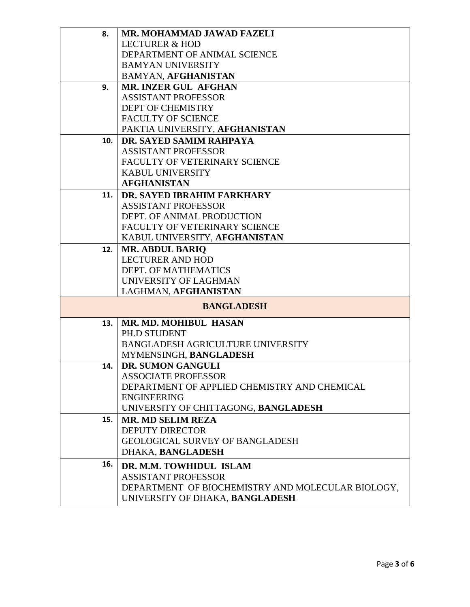| 8.  | MR. MOHAMMAD JAWAD FAZELI                         |
|-----|---------------------------------------------------|
|     | <b>LECTURER &amp; HOD</b>                         |
|     | DEPARTMENT OF ANIMAL SCIENCE                      |
|     | <b>BAMYAN UNIVERSITY</b>                          |
|     | <b>BAMYAN, AFGHANISTAN</b>                        |
| 9.  | MR. INZER GUL AFGHAN                              |
|     | <b>ASSISTANT PROFESSOR</b>                        |
|     | DEPT OF CHEMISTRY                                 |
|     | <b>FACULTY OF SCIENCE</b>                         |
|     | PAKTIA UNIVERSITY, AFGHANISTAN                    |
| 10. | DR. SAYED SAMIM RAHPAYA                           |
|     | <b>ASSISTANT PROFESSOR</b>                        |
|     | FACULTY OF VETERINARY SCIENCE                     |
|     | <b>KABUL UNIVERSITY</b>                           |
|     | <b>AFGHANISTAN</b>                                |
| 11. | DR. SAYED IBRAHIM FARKHARY                        |
|     | <b>ASSISTANT PROFESSOR</b>                        |
|     | DEPT. OF ANIMAL PRODUCTION                        |
|     | FACULTY OF VETERINARY SCIENCE                     |
|     | KABUL UNIVERSITY, AFGHANISTAN                     |
| 12. | <b>MR. ABDUL BARIO</b>                            |
|     | <b>LECTURER AND HOD</b>                           |
|     | DEPT. OF MATHEMATICS                              |
|     | UNIVERSITY OF LAGHMAN                             |
|     | LAGHMAN, AFGHANISTAN                              |
|     | <b>BANGLADESH</b>                                 |
| 13. | MR. MD. MOHIBUL HASAN                             |
|     | PH.D STUDENT                                      |
|     | <b>BANGLADESH AGRICULTURE UNIVERSITY</b>          |
|     | MYMENSINGH, BANGLADESH                            |
| 14. | DR. SUMON GANGULI                                 |
|     | <b>ASSOCIATE PROFESSOR</b>                        |
|     | DEPARTMENT OF APPLIED CHEMISTRY AND CHEMICAL      |
|     | <b>ENGINEERING</b>                                |
|     | UNIVERSITY OF CHITTAGONG, BANGLADESH              |
| 15. | <b>MR. MD SELIM REZA</b>                          |
|     | <b>DEPUTY DIRECTOR</b>                            |
|     | <b>GEOLOGICAL SURVEY OF BANGLADESH</b>            |
|     | DHAKA, BANGLADESH                                 |
| 16. | DR. M.M. TOWHIDUL ISLAM                           |
|     | <b>ASSISTANT PROFESSOR</b>                        |
|     | DEPARTMENT OF BIOCHEMISTRY AND MOLECULAR BIOLOGY, |
|     | UNIVERSITY OF DHAKA, BANGLADESH                   |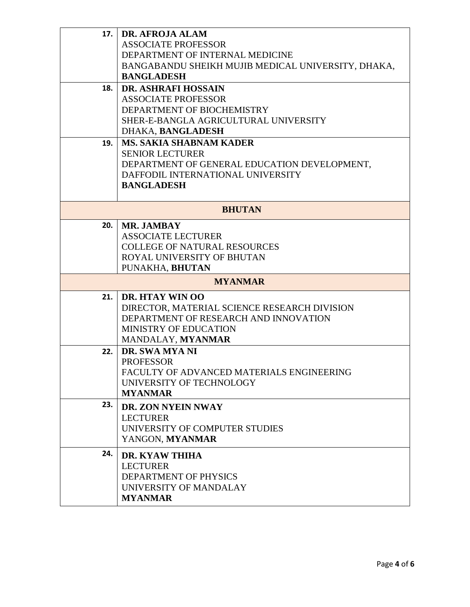| 17. | DR. AFROJA ALAM                                    |
|-----|----------------------------------------------------|
|     | <b>ASSOCIATE PROFESSOR</b>                         |
|     | DEPARTMENT OF INTERNAL MEDICINE                    |
|     | BANGABANDU SHEIKH MUJIB MEDICAL UNIVERSITY, DHAKA, |
|     | <b>BANGLADESH</b>                                  |
| 18. | <b>DR. ASHRAFI HOSSAIN</b>                         |
|     | <b>ASSOCIATE PROFESSOR</b>                         |
|     | DEPARTMENT OF BIOCHEMISTRY                         |
|     | SHER-E-BANGLA AGRICULTURAL UNIVERSITY              |
|     | DHAKA, BANGLADESH                                  |
| 19. | <b>MS. SAKIA SHABNAM KADER</b>                     |
|     | <b>SENIOR LECTURER</b>                             |
|     | DEPARTMENT OF GENERAL EDUCATION DEVELOPMENT,       |
|     | DAFFODIL INTERNATIONAL UNIVERSITY                  |
|     | <b>BANGLADESH</b>                                  |
|     | <b>BHUTAN</b>                                      |
|     |                                                    |
| 20. | MR. JAMBAY<br><b>ASSOCIATE LECTURER</b>            |
|     | <b>COLLEGE OF NATURAL RESOURCES</b>                |
|     | ROYAL UNIVERSITY OF BHUTAN                         |
|     | PUNAKHA, BHUTAN                                    |
|     |                                                    |
|     | <b>MYANMAR</b>                                     |
| 21. | <b>DR. HTAY WIN OO</b>                             |
|     | DIRECTOR, MATERIAL SCIENCE RESEARCH DIVISION       |
|     | DEPARTMENT OF RESEARCH AND INNOVATION              |
|     | MINISTRY OF EDUCATION                              |
|     | MANDALAY, MYANMAR                                  |
| 22. | DR. SWA MYA NI                                     |
|     | <b>PROFESSOR</b>                                   |
|     | FACULTY OF ADVANCED MATERIALS ENGINEERING          |
|     | UNIVERSITY OF TECHNOLOGY                           |
|     | <b>MYANMAR</b>                                     |
| 23. | DR. ZON NYEIN NWAY                                 |
|     | <b>LECTURER</b>                                    |
|     | UNIVERSITY OF COMPUTER STUDIES                     |
|     | YANGON, MYANMAR                                    |
| 24. | <b>DR. KYAW THIHA</b>                              |
|     | <b>LECTURER</b>                                    |
|     | DEPARTMENT OF PHYSICS                              |
|     | UNIVERSITY OF MANDALAY                             |
|     | <b>MYANMAR</b>                                     |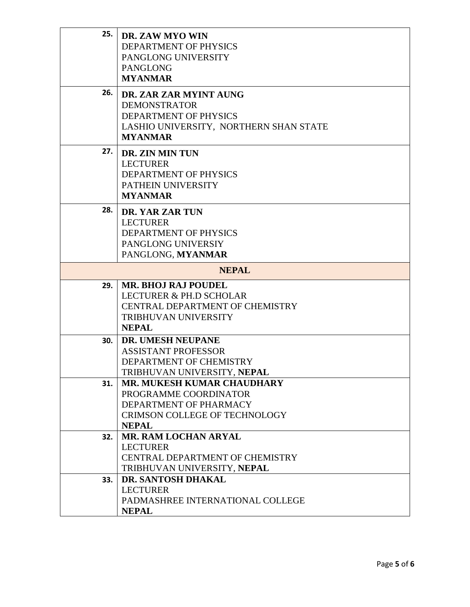| 25. | DR. ZAW MYO WIN<br>DEPARTMENT OF PHYSICS<br>PANGLONG UNIVERSITY<br><b>PANGLONG</b><br><b>MYANMAR</b>                                         |
|-----|----------------------------------------------------------------------------------------------------------------------------------------------|
| 26. | DR. ZAR ZAR MYINT AUNG<br><b>DEMONSTRATOR</b><br>DEPARTMENT OF PHYSICS<br>LASHIO UNIVERSITY, NORTHERN SHAN STATE<br><b>MYANMAR</b>           |
| 27. | DR. ZIN MIN TUN<br><b>LECTURER</b><br>DEPARTMENT OF PHYSICS<br>PATHEIN UNIVERSITY<br><b>MYANMAR</b>                                          |
| 28. | DR. YAR ZAR TUN<br><b>LECTURER</b><br>DEPARTMENT OF PHYSICS<br>PANGLONG UNIVERSIY<br>PANGLONG, MYANMAR                                       |
|     | <b>NEPAL</b>                                                                                                                                 |
| 29. | <b>MR. BHOJ RAJ POUDEL</b><br><b>LECTURER &amp; PH.D SCHOLAR</b><br>CENTRAL DEPARTMENT OF CHEMISTRY<br>TRIBHUVAN UNIVERSITY<br><b>NEPAL</b>  |
| 30. | <b>DR. UMESH NEUPANE</b><br><b>ASSISTANT PROFESSOR</b><br>DEPARTMENT OF CHEMISTRY<br>TRIBHUVAN UNIVERSITY, NEPAL                             |
| 31. | <b>MR. MUKESH KUMAR CHAUDHARY</b><br>PROGRAMME COORDINATOR<br>DEPARTMENT OF PHARMACY<br><b>CRIMSON COLLEGE OF TECHNOLOGY</b><br><b>NEPAL</b> |
| 32. | <b>MR. RAM LOCHAN ARYAL</b><br><b>LECTURER</b><br>CENTRAL DEPARTMENT OF CHEMISTRY<br>TRIBHUVAN UNIVERSITY, NEPAL                             |
| 33. | DR. SANTOSH DHAKAL<br><b>LECTURER</b><br>PADMASHREE INTERNATIONAL COLLEGE<br><b>NEPAL</b>                                                    |